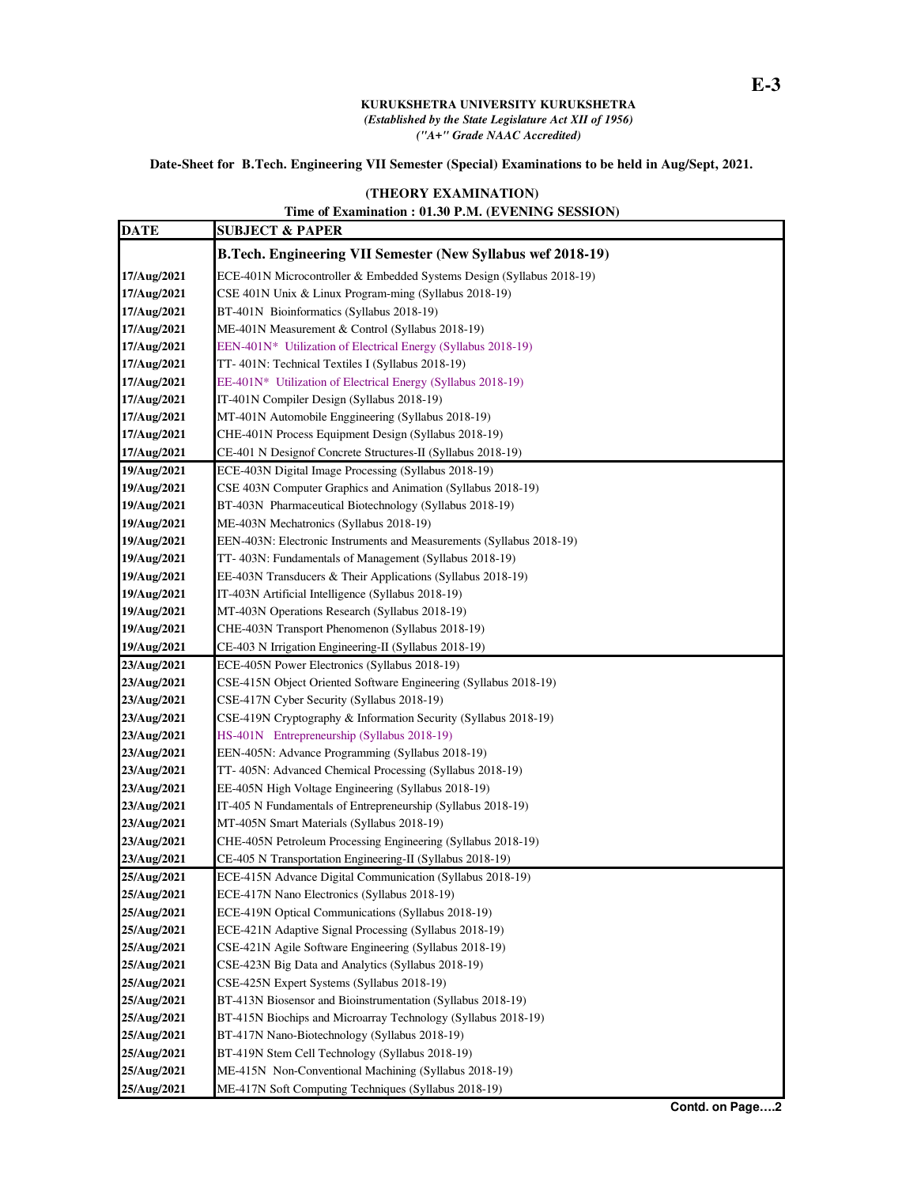## **KURUKSHETRA UNIVERSITY KURUKSHETRA**  *(Established by the State Legislature Act XII of 1956) ("A+" Grade NAAC Accredited)*

## **Date-Sheet for B.Tech. Engineering VII Semester (Special) Examinations to be held in Aug/Sept, 2021.**

## **(THEORY EXAMINATION)**

## **Time of Examination : 01.30 P.M. (EVENING SESSION)**

| <b>DATE</b> | <b>SUBJECT &amp; PAPER</b>                                            |
|-------------|-----------------------------------------------------------------------|
|             | B.Tech. Engineering VII Semester (New Syllabus wef 2018-19)           |
| 17/Aug/2021 | ECE-401N Microcontroller & Embedded Systems Design (Syllabus 2018-19) |
| 17/Aug/2021 | CSE 401N Unix & Linux Program-ming (Syllabus 2018-19)                 |
| 17/Aug/2021 | BT-401N Bioinformatics (Syllabus 2018-19)                             |
| 17/Aug/2021 | ME-401N Measurement & Control (Syllabus 2018-19)                      |
| 17/Aug/2021 | EEN-401N* Utilization of Electrical Energy (Syllabus 2018-19)         |
| 17/Aug/2021 | TT-401N: Technical Textiles I (Syllabus 2018-19)                      |
| 17/Aug/2021 | EE-401N* Utilization of Electrical Energy (Syllabus 2018-19)          |
| 17/Aug/2021 | IT-401N Compiler Design (Syllabus 2018-19)                            |
| 17/Aug/2021 | MT-401N Automobile Enggineering (Syllabus 2018-19)                    |
| 17/Aug/2021 | CHE-401N Process Equipment Design (Syllabus 2018-19)                  |
| 17/Aug/2021 | CE-401 N Designof Concrete Structures-II (Syllabus 2018-19)           |
| 19/Aug/2021 | ECE-403N Digital Image Processing (Syllabus 2018-19)                  |
| 19/Aug/2021 | CSE 403N Computer Graphics and Animation (Syllabus 2018-19)           |
| 19/Aug/2021 | BT-403N Pharmaceutical Biotechnology (Syllabus 2018-19)               |
| 19/Aug/2021 | ME-403N Mechatronics (Syllabus 2018-19)                               |
| 19/Aug/2021 | EEN-403N: Electronic Instruments and Measurements (Syllabus 2018-19)  |
| 19/Aug/2021 | TT-403N: Fundamentals of Management (Syllabus 2018-19)                |
| 19/Aug/2021 | EE-403N Transducers & Their Applications (Syllabus 2018-19)           |
| 19/Aug/2021 | IT-403N Artificial Intelligence (Syllabus 2018-19)                    |
| 19/Aug/2021 | MT-403N Operations Research (Syllabus 2018-19)                        |
| 19/Aug/2021 | CHE-403N Transport Phenomenon (Syllabus 2018-19)                      |
| 19/Aug/2021 | CE-403 N Irrigation Engineering-II (Syllabus 2018-19)                 |
| 23/Aug/2021 | ECE-405N Power Electronics (Syllabus 2018-19)                         |
| 23/Aug/2021 | CSE-415N Object Oriented Software Engineering (Syllabus 2018-19)      |
| 23/Aug/2021 | CSE-417N Cyber Security (Syllabus 2018-19)                            |
| 23/Aug/2021 | CSE-419N Cryptography & Information Security (Syllabus 2018-19)       |
| 23/Aug/2021 | HS-401N Entrepreneurship (Syllabus 2018-19)                           |
| 23/Aug/2021 | EEN-405N: Advance Programming (Syllabus 2018-19)                      |
| 23/Aug/2021 | TT-405N: Advanced Chemical Processing (Syllabus 2018-19)              |
| 23/Aug/2021 | EE-405N High Voltage Engineering (Syllabus 2018-19)                   |
| 23/Aug/2021 | IT-405 N Fundamentals of Entrepreneurship (Syllabus 2018-19)          |
| 23/Aug/2021 | MT-405N Smart Materials (Syllabus 2018-19)                            |
| 23/Aug/2021 | CHE-405N Petroleum Processing Engineering (Syllabus 2018-19)          |
| 23/Aug/2021 | CE-405 N Transportation Engineering-II (Syllabus 2018-19)             |
| 25/Aug/2021 | ECE-415N Advance Digital Communication (Syllabus 2018-19)             |
| 25/Aug/2021 | ECE-417N Nano Electronics (Syllabus 2018-19)                          |
| 25/Aug/2021 | ECE-419N Optical Communications (Syllabus 2018-19)                    |
| 25/Aug/2021 | ECE-421N Adaptive Signal Processing (Syllabus 2018-19)                |
| 25/Aug/2021 | CSE-421N Agile Software Engineering (Syllabus 2018-19)                |
| 25/Aug/2021 | CSE-423N Big Data and Analytics (Syllabus 2018-19)                    |
| 25/Aug/2021 | CSE-425N Expert Systems (Syllabus 2018-19)                            |
| 25/Aug/2021 | BT-413N Biosensor and Bioinstrumentation (Syllabus 2018-19)           |
| 25/Aug/2021 | BT-415N Biochips and Microarray Technology (Syllabus 2018-19)         |
| 25/Aug/2021 | BT-417N Nano-Biotechnology (Syllabus 2018-19)                         |
| 25/Aug/2021 | BT-419N Stem Cell Technology (Syllabus 2018-19)                       |
| 25/Aug/2021 | ME-415N Non-Conventional Machining (Syllabus 2018-19)                 |
| 25/Aug/2021 | ME-417N Soft Computing Techniques (Syllabus 2018-19)                  |
|             |                                                                       |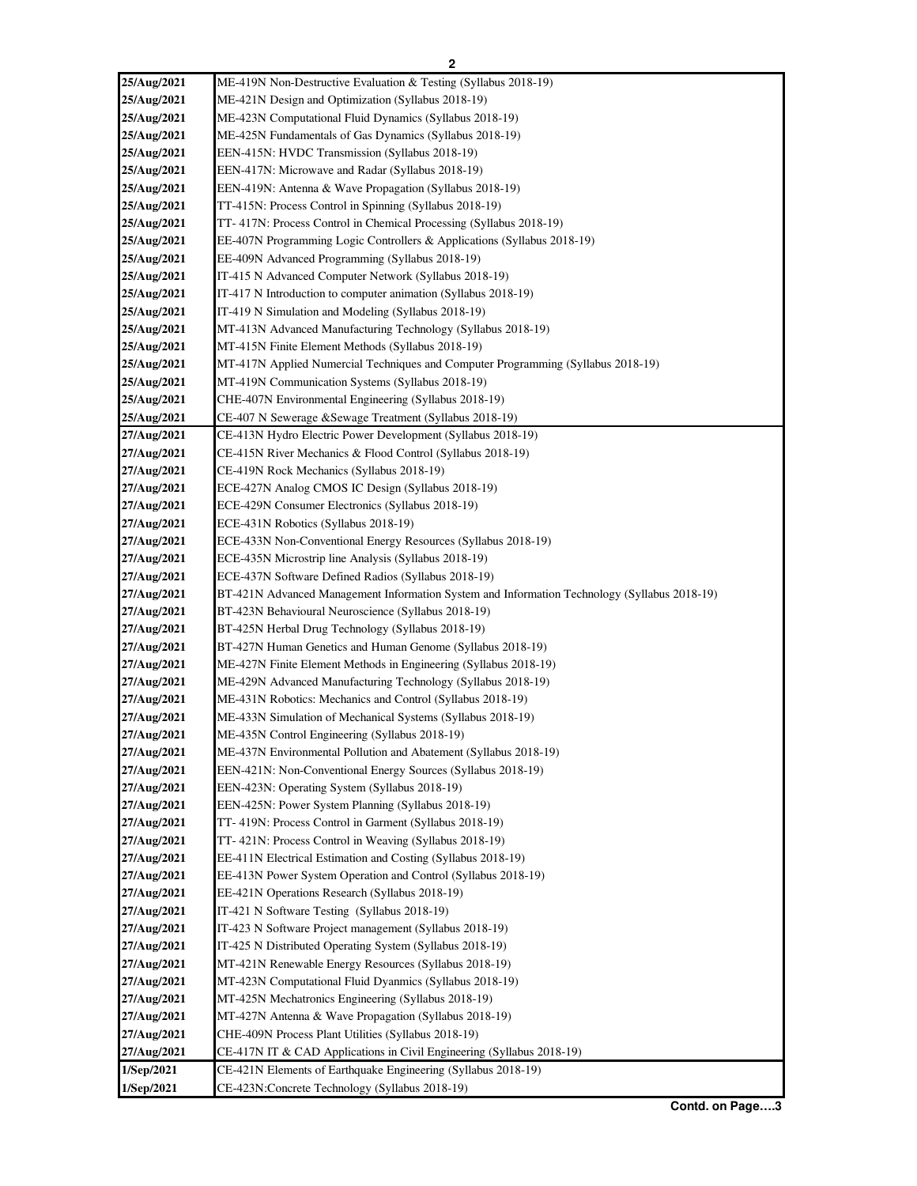| 25/Aug/2021 | ME-419N Non-Destructive Evaluation & Testing (Syllabus 2018-19)                                             |
|-------------|-------------------------------------------------------------------------------------------------------------|
| 25/Aug/2021 | ME-421N Design and Optimization (Syllabus 2018-19)                                                          |
| 25/Aug/2021 | ME-423N Computational Fluid Dynamics (Syllabus 2018-19)                                                     |
| 25/Aug/2021 | ME-425N Fundamentals of Gas Dynamics (Syllabus 2018-19)                                                     |
| 25/Aug/2021 | EEN-415N: HVDC Transmission (Syllabus 2018-19)                                                              |
| 25/Aug/2021 | EEN-417N: Microwave and Radar (Syllabus 2018-19)                                                            |
| 25/Aug/2021 | EEN-419N: Antenna & Wave Propagation (Syllabus 2018-19)                                                     |
| 25/Aug/2021 | TT-415N: Process Control in Spinning (Syllabus 2018-19)                                                     |
| 25/Aug/2021 | TT-417N: Process Control in Chemical Processing (Syllabus 2018-19)                                          |
| 25/Aug/2021 | EE-407N Programming Logic Controllers & Applications (Syllabus 2018-19)                                     |
| 25/Aug/2021 | EE-409N Advanced Programming (Syllabus 2018-19)                                                             |
| 25/Aug/2021 | IT-415 N Advanced Computer Network (Syllabus 2018-19)                                                       |
| 25/Aug/2021 | IT-417 N Introduction to computer animation (Syllabus 2018-19)                                              |
| 25/Aug/2021 | IT-419 N Simulation and Modeling (Syllabus 2018-19)                                                         |
| 25/Aug/2021 | MT-413N Advanced Manufacturing Technology (Syllabus 2018-19)                                                |
| 25/Aug/2021 | MT-415N Finite Element Methods (Syllabus 2018-19)                                                           |
| 25/Aug/2021 | MT-417N Applied Numercial Techniques and Computer Programming (Syllabus 2018-19)                            |
| 25/Aug/2021 | MT-419N Communication Systems (Syllabus 2018-19)                                                            |
| 25/Aug/2021 | CHE-407N Environmental Engineering (Syllabus 2018-19)                                                       |
| 25/Aug/2021 | CE-407 N Sewerage & Sewage Treatment (Syllabus 2018-19)                                                     |
| 27/Aug/2021 | CE-413N Hydro Electric Power Development (Syllabus 2018-19)                                                 |
| 27/Aug/2021 | CE-415N River Mechanics & Flood Control (Syllabus 2018-19)                                                  |
| 27/Aug/2021 | CE-419N Rock Mechanics (Syllabus 2018-19)                                                                   |
| 27/Aug/2021 |                                                                                                             |
|             | ECE-427N Analog CMOS IC Design (Syllabus 2018-19)                                                           |
| 27/Aug/2021 | ECE-429N Consumer Electronics (Syllabus 2018-19)                                                            |
| 27/Aug/2021 | ECE-431N Robotics (Syllabus 2018-19)                                                                        |
| 27/Aug/2021 | ECE-433N Non-Conventional Energy Resources (Syllabus 2018-19)                                               |
| 27/Aug/2021 | ECE-435N Microstrip line Analysis (Syllabus 2018-19)<br>ECE-437N Software Defined Radios (Syllabus 2018-19) |
| 27/Aug/2021 |                                                                                                             |
| 27/Aug/2021 | BT-421N Advanced Management Information System and Information Technology (Syllabus 2018-19)                |
| 27/Aug/2021 | BT-423N Behavioural Neuroscience (Syllabus 2018-19)                                                         |
| 27/Aug/2021 | BT-425N Herbal Drug Technology (Syllabus 2018-19)                                                           |
| 27/Aug/2021 | BT-427N Human Genetics and Human Genome (Syllabus 2018-19)                                                  |
| 27/Aug/2021 | ME-427N Finite Element Methods in Engineering (Syllabus 2018-19)                                            |
| 27/Aug/2021 | ME-429N Advanced Manufacturing Technology (Syllabus 2018-19)                                                |
| 27/Aug/2021 | ME-431N Robotics: Mechanics and Control (Syllabus 2018-19)                                                  |
| 27/Aug/2021 | ME-433N Simulation of Mechanical Systems (Syllabus 2018-19)                                                 |
| 27/Aug/2021 | ME-435N Control Engineering (Syllabus 2018-19)                                                              |
| 27/Aug/2021 | ME-437N Environmental Pollution and Abatement (Syllabus 2018-19)                                            |
| 27/Aug/2021 | EEN-421N: Non-Conventional Energy Sources (Syllabus 2018-19)                                                |
| 27/Aug/2021 | EEN-423N: Operating System (Syllabus 2018-19)                                                               |
| 27/Aug/2021 | EEN-425N: Power System Planning (Syllabus 2018-19)                                                          |
| 27/Aug/2021 | TT- 419N: Process Control in Garment (Syllabus 2018-19)                                                     |
| 27/Aug/2021 | TT-421N: Process Control in Weaving (Syllabus 2018-19)                                                      |
| 27/Aug/2021 | EE-411N Electrical Estimation and Costing (Syllabus 2018-19)                                                |
| 27/Aug/2021 | EE-413N Power System Operation and Control (Syllabus 2018-19)                                               |
| 27/Aug/2021 | EE-421N Operations Research (Syllabus 2018-19)                                                              |
| 27/Aug/2021 | IT-421 N Software Testing (Syllabus 2018-19)                                                                |
| 27/Aug/2021 | IT-423 N Software Project management (Syllabus 2018-19)                                                     |
| 27/Aug/2021 | IT-425 N Distributed Operating System (Syllabus 2018-19)                                                    |
| 27/Aug/2021 | MT-421N Renewable Energy Resources (Syllabus 2018-19)                                                       |
| 27/Aug/2021 | MT-423N Computational Fluid Dyanmics (Syllabus 2018-19)                                                     |
| 27/Aug/2021 | MT-425N Mechatronics Engineering (Syllabus 2018-19)                                                         |
| 27/Aug/2021 | MT-427N Antenna & Wave Propagation (Syllabus 2018-19)                                                       |
| 27/Aug/2021 | CHE-409N Process Plant Utilities (Syllabus 2018-19)                                                         |
| 27/Aug/2021 | CE-417N IT & CAD Applications in Civil Engineering (Syllabus 2018-19)                                       |
| 1/Sep/2021  | CE-421N Elements of Earthquake Engineering (Syllabus 2018-19)                                               |
| 1/Sep/2021  | CE-423N:Concrete Technology (Syllabus 2018-19)                                                              |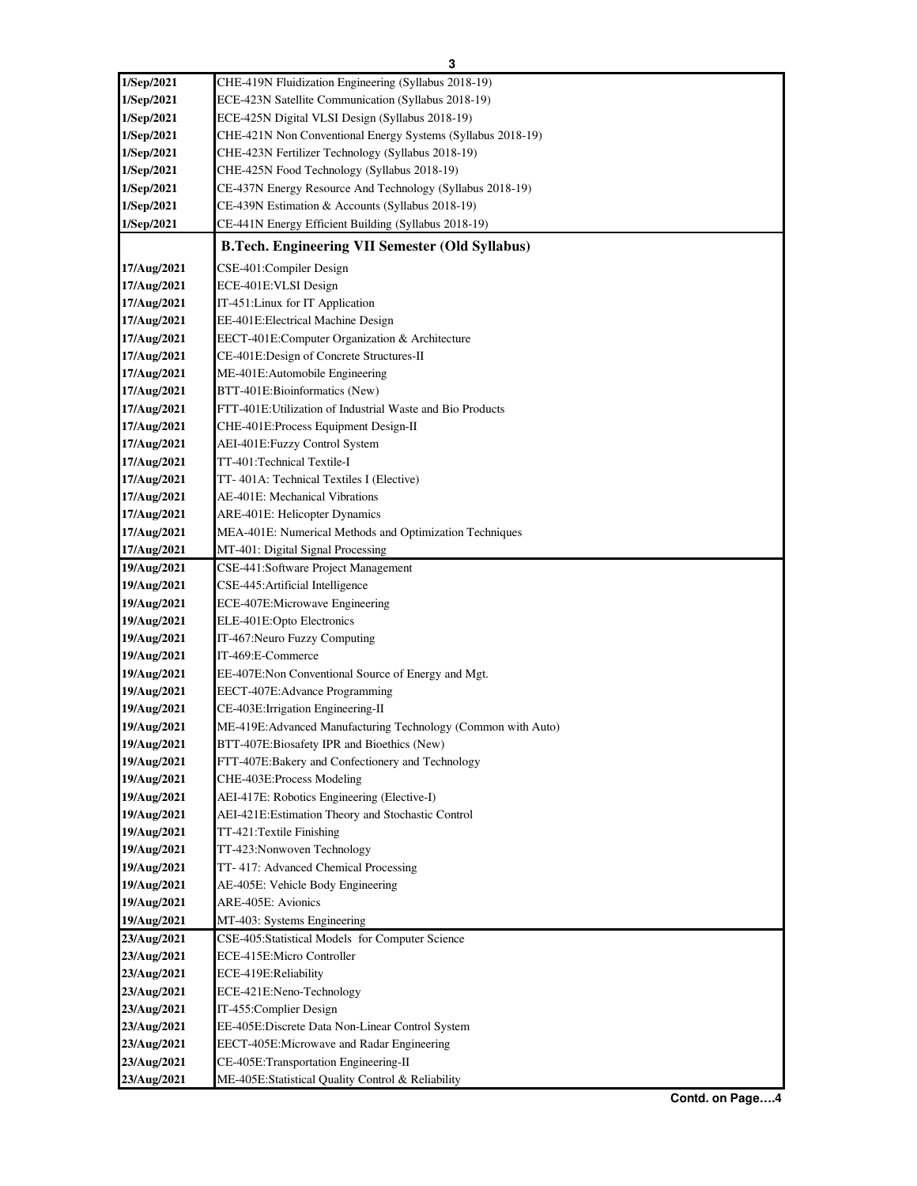| 1/Sep/2021  | CHE-419N Fluidization Engineering (Syllabus 2018-19)          |
|-------------|---------------------------------------------------------------|
| 1/Sep/2021  | ECE-423N Satellite Communication (Syllabus 2018-19)           |
| 1/Sep/2021  | ECE-425N Digital VLSI Design (Syllabus 2018-19)               |
| 1/Sep/2021  | CHE-421N Non Conventional Energy Systems (Syllabus 2018-19)   |
| 1/Sep/2021  | CHE-423N Fertilizer Technology (Syllabus 2018-19)             |
| 1/Sep/2021  | CHE-425N Food Technology (Syllabus 2018-19)                   |
| 1/Sep/2021  | CE-437N Energy Resource And Technology (Syllabus 2018-19)     |
| 1/Sep/2021  | CE-439N Estimation & Accounts (Syllabus 2018-19)              |
| 1/Sep/2021  | CE-441N Energy Efficient Building (Syllabus 2018-19)          |
|             | <b>B.Tech. Engineering VII Semester (Old Syllabus)</b>        |
| 17/Aug/2021 | CSE-401:Compiler Design                                       |
| 17/Aug/2021 | ECE-401E: VLSI Design                                         |
| 17/Aug/2021 | IT-451: Linux for IT Application                              |
| 17/Aug/2021 | EE-401E:Electrical Machine Design                             |
| 17/Aug/2021 | EECT-401E:Computer Organization & Architecture                |
| 17/Aug/2021 | CE-401E:Design of Concrete Structures-II                      |
| 17/Aug/2021 | ME-401E: Automobile Engineering                               |
| 17/Aug/2021 | BTT-401E:Bioinformatics (New)                                 |
| 17/Aug/2021 | FTT-401E: Utilization of Industrial Waste and Bio Products    |
| 17/Aug/2021 | CHE-401E:Process Equipment Design-II                          |
| 17/Aug/2021 | AEI-401E:Fuzzy Control System                                 |
| 17/Aug/2021 | TT-401:Technical Textile-I                                    |
| 17/Aug/2021 | TT-401A: Technical Textiles I (Elective)                      |
| 17/Aug/2021 | AE-401E: Mechanical Vibrations                                |
| 17/Aug/2021 | ARE-401E: Helicopter Dynamics                                 |
| 17/Aug/2021 | MEA-401E: Numerical Methods and Optimization Techniques       |
| 17/Aug/2021 | MT-401: Digital Signal Processing                             |
| 19/Aug/2021 | CSE-441:Software Project Management                           |
| 19/Aug/2021 | CSE-445: Artificial Intelligence                              |
| 19/Aug/2021 | ECE-407E:Microwave Engineering                                |
| 19/Aug/2021 | ELE-401E:Opto Electronics                                     |
| 19/Aug/2021 | IT-467: Neuro Fuzzy Computing                                 |
| 19/Aug/2021 | IT-469:E-Commerce                                             |
| 19/Aug/2021 | EE-407E:Non Conventional Source of Energy and Mgt.            |
| 19/Aug/2021 | EECT-407E:Advance Programming                                 |
| 19/Aug/2021 | CE-403E: Irrigation Engineering-II                            |
| 19/Aug/2021 | ME-419E: Advanced Manufacturing Technology (Common with Auto) |
| 19/Aug/2021 | BTT-407E:Biosafety IPR and Bioethics (New)                    |
| 19/Aug/2021 | FTT-407E:Bakery and Confectionery and Technology              |
| 19/Aug/2021 | CHE-403E:Process Modeling                                     |
| 19/Aug/2021 | AEI-417E: Robotics Engineering (Elective-I)                   |
| 19/Aug/2021 | AEI-421E:Estimation Theory and Stochastic Control             |
| 19/Aug/2021 | TT-421:Textile Finishing                                      |
| 19/Aug/2021 | TT-423: Nonwoven Technology                                   |
| 19/Aug/2021 | TT-417: Advanced Chemical Processing                          |
| 19/Aug/2021 | AE-405E: Vehicle Body Engineering                             |
| 19/Aug/2021 | ARE-405E: Avionics                                            |
| 19/Aug/2021 | MT-403: Systems Engineering                                   |
| 23/Aug/2021 | CSE-405:Statistical Models for Computer Science               |
| 23/Aug/2021 | ECE-415E:Micro Controller                                     |
| 23/Aug/2021 | ECE-419E:Reliability                                          |
| 23/Aug/2021 | ECE-421E:Neno-Technology                                      |
| 23/Aug/2021 | IT-455: Complier Design                                       |
| 23/Aug/2021 | EE-405E:Discrete Data Non-Linear Control System               |
| 23/Aug/2021 | EECT-405E:Microwave and Radar Engineering                     |
|             |                                                               |
| 23/Aug/2021 | CE-405E:Transportation Engineering-II                         |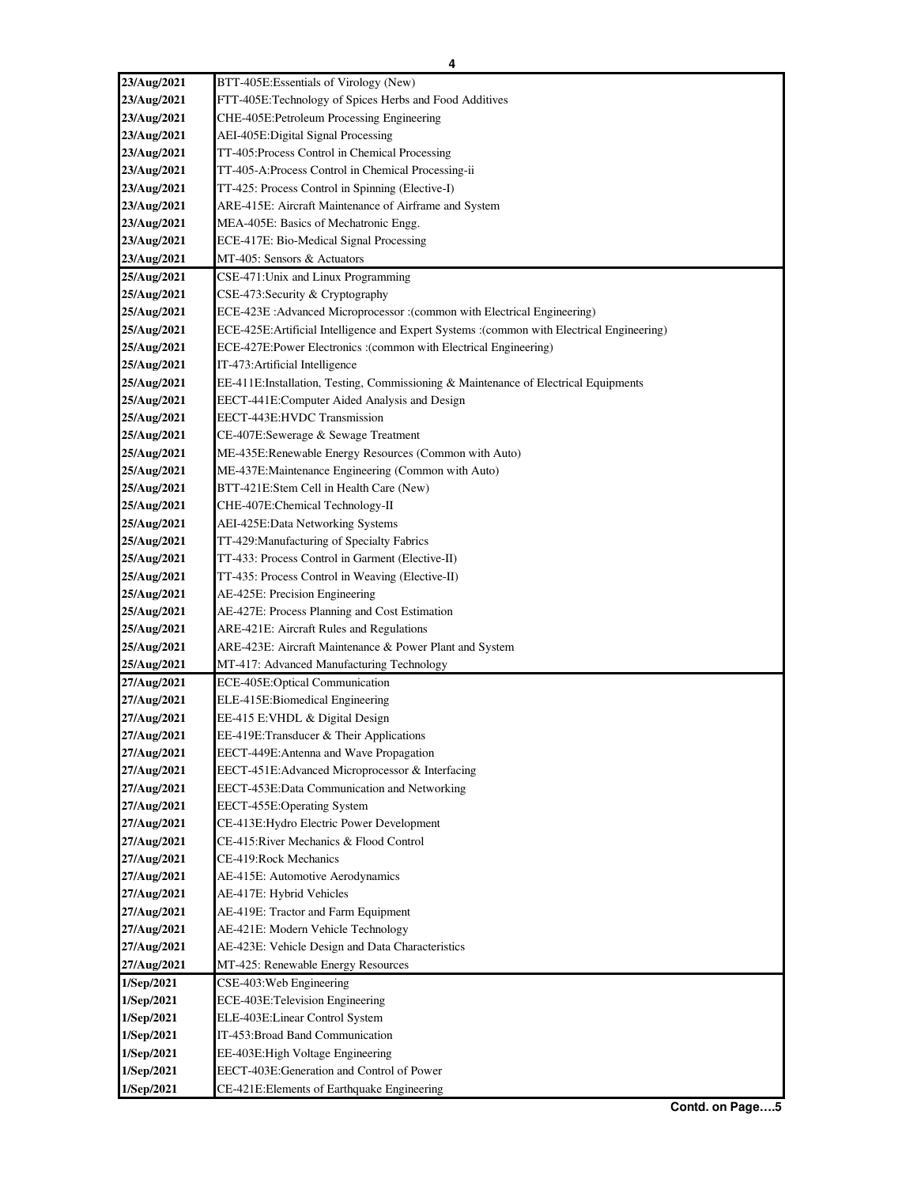| 23/Aug/2021 | BTT-405E:Essentials of Virology (New)                                                                                             |
|-------------|-----------------------------------------------------------------------------------------------------------------------------------|
| 23/Aug/2021 | FTT-405E:Technology of Spices Herbs and Food Additives                                                                            |
| 23/Aug/2021 | CHE-405E: Petroleum Processing Engineering                                                                                        |
| 23/Aug/2021 | AEI-405E: Digital Signal Processing                                                                                               |
| 23/Aug/2021 | TT-405:Process Control in Chemical Processing                                                                                     |
| 23/Aug/2021 | TT-405-A:Process Control in Chemical Processing-ii                                                                                |
| 23/Aug/2021 | TT-425: Process Control in Spinning (Elective-I)                                                                                  |
| 23/Aug/2021 | ARE-415E: Aircraft Maintenance of Airframe and System                                                                             |
| 23/Aug/2021 | MEA-405E: Basics of Mechatronic Engg.                                                                                             |
| 23/Aug/2021 | ECE-417E: Bio-Medical Signal Processing                                                                                           |
| 23/Aug/2021 | MT-405: Sensors & Actuators                                                                                                       |
| 25/Aug/2021 | CSE-471: Unix and Linux Programming                                                                                               |
| 25/Aug/2021 | CSE-473:Security & Cryptography                                                                                                   |
| 25/Aug/2021 | ECE-423E : Advanced Microprocessor : (common with Electrical Engineering)                                                         |
| 25/Aug/2021 | (common with Electrical Engineering): ECE-425E: Artificial Intelligence and Expert Systems : (common with Electrical Engineering) |
| 25/Aug/2021 | ECE-427E:Power Electronics :(common with Electrical Engineering)                                                                  |
| 25/Aug/2021 | IT-473: Artificial Intelligence                                                                                                   |
| 25/Aug/2021 | EE-411E:Installation, Testing, Commissioning & Maintenance of Electrical Equipments                                               |
| 25/Aug/2021 | EECT-441E:Computer Aided Analysis and Design                                                                                      |
| 25/Aug/2021 | EECT-443E:HVDC Transmission                                                                                                       |
| 25/Aug/2021 | CE-407E:Sewerage & Sewage Treatment                                                                                               |
| 25/Aug/2021 | ME-435E:Renewable Energy Resources (Common with Auto)                                                                             |
| 25/Aug/2021 | ME-437E: Maintenance Engineering (Common with Auto)                                                                               |
| 25/Aug/2021 | BTT-421E:Stem Cell in Health Care (New)                                                                                           |
| 25/Aug/2021 | CHE-407E:Chemical Technology-II                                                                                                   |
| 25/Aug/2021 | AEI-425E:Data Networking Systems                                                                                                  |
| 25/Aug/2021 | TT-429: Manufacturing of Specialty Fabrics                                                                                        |
| 25/Aug/2021 | TT-433: Process Control in Garment (Elective-II)                                                                                  |
| 25/Aug/2021 | TT-435: Process Control in Weaving (Elective-II)                                                                                  |
| 25/Aug/2021 | AE-425E: Precision Engineering                                                                                                    |
| 25/Aug/2021 | AE-427E: Process Planning and Cost Estimation                                                                                     |
| 25/Aug/2021 | ARE-421E: Aircraft Rules and Regulations                                                                                          |
| 25/Aug/2021 | ARE-423E: Aircraft Maintenance & Power Plant and System                                                                           |
| 25/Aug/2021 | MT-417: Advanced Manufacturing Technology                                                                                         |
| 27/Aug/2021 | ECE-405E:Optical Communication                                                                                                    |
| 27/Aug/2021 | ELE-415E:Biomedical Engineering                                                                                                   |
| 27/Aug/2021 | EE-415 E:VHDL & Digital Design                                                                                                    |
| 27/Aug/2021 | EE-419E:Transducer & Their Applications                                                                                           |
| 27/Aug/2021 | EECT-449E:Antenna and Wave Propagation                                                                                            |
| 27/Aug/2021 | EECT-451E: Advanced Microprocessor & Interfacing                                                                                  |
| 27/Aug/2021 | EECT-453E:Data Communication and Networking                                                                                       |
| 27/Aug/2021 | EECT-455E:Operating System                                                                                                        |
| 27/Aug/2021 | CE-413E: Hydro Electric Power Development                                                                                         |
| 27/Aug/2021 | CE-415: River Mechanics & Flood Control                                                                                           |
| 27/Aug/2021 | CE-419: Rock Mechanics                                                                                                            |
| 27/Aug/2021 | AE-415E: Automotive Aerodynamics                                                                                                  |
| 27/Aug/2021 | AE-417E: Hybrid Vehicles                                                                                                          |
| 27/Aug/2021 | AE-419E: Tractor and Farm Equipment                                                                                               |
| 27/Aug/2021 | AE-421E: Modern Vehicle Technology                                                                                                |
| 27/Aug/2021 | AE-423E: Vehicle Design and Data Characteristics                                                                                  |
| 27/Aug/2021 | MT-425: Renewable Energy Resources                                                                                                |
| 1/Sep/2021  | CSE-403: Web Engineering                                                                                                          |
| 1/Sep/2021  | ECE-403E:Television Engineering                                                                                                   |
| 1/Sep/2021  | ELE-403E:Linear Control System                                                                                                    |
| 1/Sep/2021  | IT-453: Broad Band Communication                                                                                                  |
| 1/Sep/2021  | EE-403E: High Voltage Engineering                                                                                                 |
| 1/Sep/2021  | EECT-403E:Generation and Control of Power                                                                                         |
| 1/Sep/2021  | CE-421E:Elements of Earthquake Engineering                                                                                        |
|             |                                                                                                                                   |